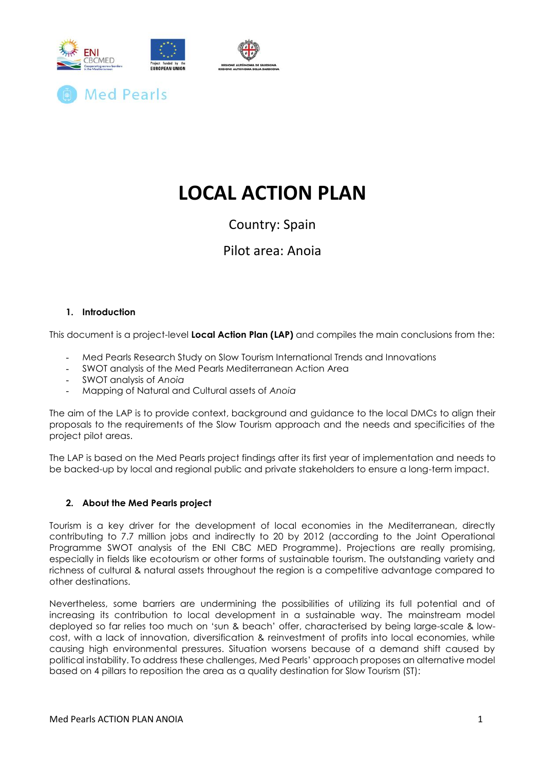

# **LOCAL ACTION PLAN**

### Country: Spain

### Pilot area: Anoia

### **1. Introduction**

This document is a project-level **Local Action Plan (LAP)** and compiles the main conclusions from the:

- Med Pearls Research Study on Slow Tourism International Trends and Innovations
- SWOT analysis of the Med Pearls Mediterranean Action Area
- SWOT analysis of *Anoia*
- Mapping of Natural and Cultural assets of *Anoia*

The aim of the LAP is to provide context, background and guidance to the local DMCs to align their proposals to the requirements of the Slow Tourism approach and the needs and specificities of the project pilot areas.

The LAP is based on the Med Pearls project findings after its first year of implementation and needs to be backed-up by local and regional public and private stakeholders to ensure a long-term impact.

### **2. About the Med Pearls project**

Tourism is a key driver for the development of local economies in the Mediterranean, directly contributing to 7.7 million jobs and indirectly to 20 by 2012 (according to the Joint Operational Programme SWOT analysis of the ENI CBC MED Programme). Projections are really promising, especially in fields like ecotourism or other forms of sustainable tourism. The outstanding variety and richness of cultural & natural assets throughout the region is a competitive advantage compared to other destinations.

Nevertheless, some barriers are undermining the possibilities of utilizing its full potential and of increasing its contribution to local development in a sustainable way. The mainstream model deployed so far relies too much on 'sun & beach' offer, characterised by being large-scale & lowcost, with a lack of innovation, diversification & reinvestment of profits into local economies, while causing high environmental pressures. Situation worsens because of a demand shift caused by political instability. To address these challenges, Med Pearls' approach proposes an alternative model based on 4 pillars to reposition the area as a quality destination for Slow Tourism (ST):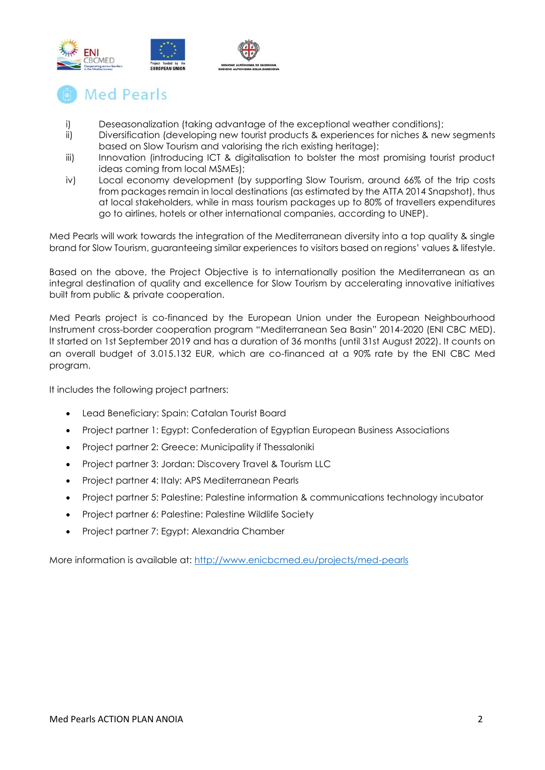

## **Med Pearls**

- i) Deseasonalization (taking advantage of the exceptional weather conditions);
- ii) Diversification (developing new tourist products & experiences for niches & new segments based on Slow Tourism and valorising the rich existing heritage);
- iii) Innovation (introducing ICT & digitalisation to bolster the most promising tourist product ideas coming from local MSMEs);
- iv) Local economy development (by supporting Slow Tourism, around 66% of the trip costs from packages remain in local destinations (as estimated by the ATTA 2014 Snapshot), thus at local stakeholders, while in mass tourism packages up to 80% of travellers expenditures go to airlines, hotels or other international companies, according to UNEP).

Med Pearls will work towards the integration of the Mediterranean diversity into a top quality & single brand for Slow Tourism, guaranteeing similar experiences to visitors based on regions' values & lifestyle.

Based on the above, the Project Objective is to internationally position the Mediterranean as an integral destination of quality and excellence for Slow Tourism by accelerating innovative initiatives built from public & private cooperation.

Med Pearls project is co-financed by the European Union under the European Neighbourhood Instrument cross-border cooperation program "Mediterranean Sea Basin" 2014-2020 (ENI CBC MED). It started on 1st September 2019 and has a duration of 36 months (until 31st August 2022). It counts on an overall budget of 3.015.132 EUR, which are co-financed at a 90% rate by the ENI CBC Med program.

It includes the following project partners:

- Lead Beneficiary: Spain: Catalan Tourist Board
- Project partner 1: Egypt: Confederation of Egyptian European Business Associations
- Project partner 2: Greece: Municipality if Thessaloniki
- Project partner 3: Jordan: Discovery Travel & Tourism LLC
- Project partner 4: Italy: APS Mediterranean Pearls
- Project partner 5: Palestine: Palestine information & communications technology incubator
- Project partner 6: Palestine: Palestine Wildlife Society
- Project partner 7: Egypt: Alexandria Chamber

More information is available at:<http://www.enicbcmed.eu/projects/med-pearls>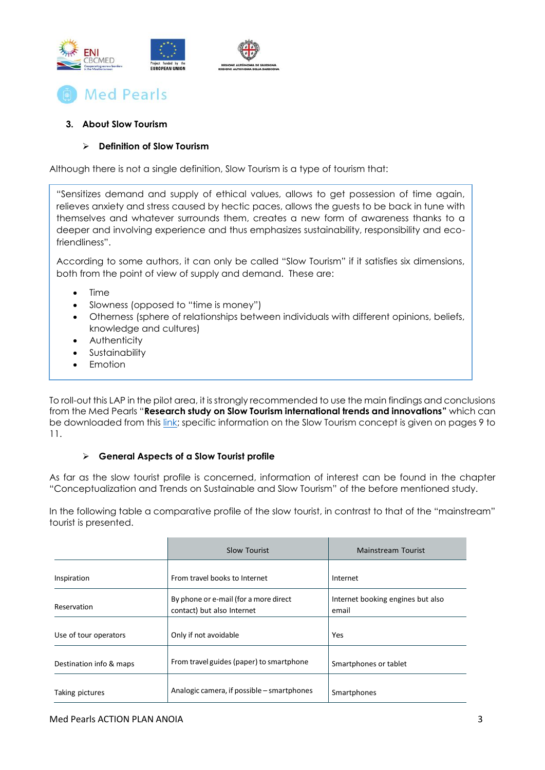



### **3. About Slow Tourism**

### **Definition of Slow Tourism**

Although there is not a single definition, Slow Tourism is a type of tourism that:

"Sensitizes demand and supply of ethical values, allows to get possession of time again, relieves anxiety and stress caused by hectic paces, allows the guests to be back in tune with themselves and whatever surrounds them, creates a new form of awareness thanks to a deeper and involving experience and thus emphasizes sustainability, responsibility and ecofriendliness".

According to some authors, it can only be called "Slow Tourism" if it satisfies six dimensions, both from the point of view of supply and demand. These are:

- Time
- Slowness (opposed to "time is money")
- Otherness (sphere of relationships between individuals with different opinions, beliefs, knowledge and cultures)
- **Authenticity**
- Sustainability
- Emotion

To roll-out this LAP in the pilot area, it is strongly recommended to use the main findings and conclusions from the Med Pearls "**Research study on Slow Tourism international trends and innovations"** which can be downloaded from this [link;](http://www.enicbcmed.eu/sites/default/files/2020-09/CHAPTER%201%20-%20Conceptualization%20%26%20Trends%20on%20Sustainable%20%26%20ST.pdf) specific information on the Slow Tourism concept is given on pages 9 to 11.

### **General Aspects of a Slow Tourist profile**

As far as the slow tourist profile is concerned, information of interest can be found in the chapter "Conceptualization and Trends on Sustainable and Slow Tourism" of the before mentioned study.

In the following table a comparative profile of the slow tourist, in contrast to that of the "mainstream" tourist is presented.

|                         | Slow Tourist                                                        | Mainstream Tourist                         |  |  |
|-------------------------|---------------------------------------------------------------------|--------------------------------------------|--|--|
| Inspiration             | From travel books to Internet                                       | Internet                                   |  |  |
| Reservation             | By phone or e-mail (for a more direct<br>contact) but also Internet | Internet booking engines but also<br>email |  |  |
| Use of tour operators   | Only if not avoidable                                               | Yes                                        |  |  |
| Destination info & maps | From travel guides (paper) to smartphone                            | Smartphones or tablet                      |  |  |
| Taking pictures         | Analogic camera, if possible – smartphones                          | Smartphones                                |  |  |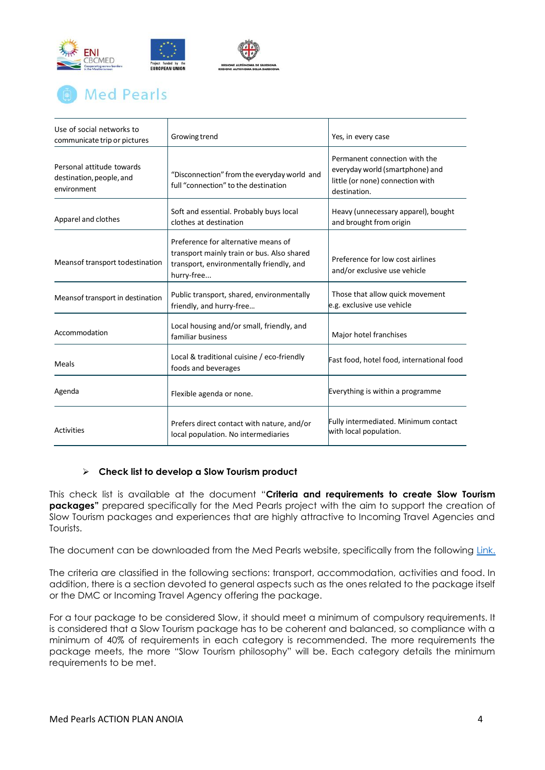

## **Med Pearls**

| Use of social networks to<br>communicate trip or pictures            | Growing trend                                                                                                                               | Yes, in every case                                                                                                   |  |  |
|----------------------------------------------------------------------|---------------------------------------------------------------------------------------------------------------------------------------------|----------------------------------------------------------------------------------------------------------------------|--|--|
| Personal attitude towards<br>destination, people, and<br>environment | "Disconnection" from the everyday world and<br>full "connection" to the destination                                                         | Permanent connection with the<br>everyday world (smartphone) and<br>little (or none) connection with<br>destination. |  |  |
| Apparel and clothes                                                  | Soft and essential. Probably buys local<br>clothes at destination                                                                           | Heavy (unnecessary apparel), bought<br>and brought from origin                                                       |  |  |
| Means of transport to destination                                    | Preference for alternative means of<br>transport mainly train or bus. Also shared<br>transport, environmentally friendly, and<br>hurry-free | Preference for low cost airlines<br>and/or exclusive use vehicle                                                     |  |  |
| Meansof transport in destination                                     | Public transport, shared, environmentally<br>friendly, and hurry-free                                                                       | Those that allow quick movement<br>e.g. exclusive use vehicle                                                        |  |  |
| Accommodation                                                        | Local housing and/or small, friendly, and<br>familiar business                                                                              | Major hotel franchises                                                                                               |  |  |
| Meals                                                                | Local & traditional cuisine / eco-friendly<br>foods and beverages                                                                           | Fast food, hotel food, international food                                                                            |  |  |
| Agenda                                                               | Flexible agenda or none.                                                                                                                    | Everything is within a programme                                                                                     |  |  |
| Activities                                                           | Prefers direct contact with nature, and/or<br>local population. No intermediaries                                                           | Fully intermediated. Minimum contact<br>with local population.                                                       |  |  |

### **Check list to develop a Slow Tourism product**

This check list is available at the document "**Criteria and requirements to create Slow Tourism packages"** prepared specifically for the Med Pearls project with the aim to support the creation of Slow Tourism packages and experiences that are highly attractive to Incoming Travel Agencies and Tourists.

The document can be downloaded from the Med Pearls website, specifically from the following [Link.](http://www.enicbcmed.eu/sites/default/files/2020-09/CHAPTER%202%20-%20Criteria%20and%20requirements%20to%20create%20Slow%20Tourism%20packages.pdf)

The criteria are classified in the following sections: transport, accommodation, activities and food. In addition, there is a section devoted to general aspects such as the ones related to the package itself or the DMC or Incoming Travel Agency offering the package.

For a tour package to be considered Slow, it should meet a minimum of compulsory requirements. It is considered that a Slow Tourism package has to be coherent and balanced, so compliance with a minimum of 40% of requirements in each category is recommended. The more requirements the package meets, the more "Slow Tourism philosophy" will be. Each category details the minimum requirements to be met.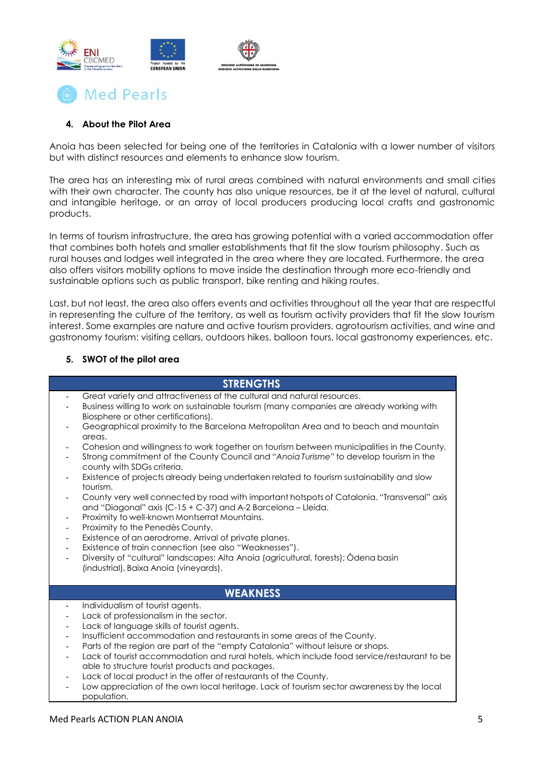



### **4. About the Pilot Area**

Anoia has been selected for being one of the territories in Catalonia with a lower number of visitors but with distinct resources and elements to enhance slow tourism.

The area has an interesting mix of rural areas combined with natural environments and small cities with their own character. The county has also unique resources, be it at the level of natural, cultural and intangible heritage, or an array of local producers producing local crafts and gastronomic products.

In terms of tourism infrastructure, the area has growing potential with a varied accommodation offer that combines both hotels and smaller establishments that fit the slow tourism philosophy. Such as rural houses and lodges well integrated in the area where they are located. Furthermore, the area also offers visitors mobility options to move inside the destination through more eco-friendly and sustainable options such as public transport, bike renting and hiking routes.

Last, but not least, the area also offers events and activities throughout all the year that are respectful in representing the culture of the territory, as well as tourism activity providers that fit the slow tourism interest. Some examples are nature and active tourism providers, agrotourism activities, and wine and gastronomy tourism: visiting cellars, outdoors hikes, balloon tours, local gastronomy experiences, etc.

### **5. SWOT of the pilot area**

| <b>STRENGTHS</b>                                                                                                                                                                                                                                                                                                                                                                                                                                                                                                                                                                                                                                                                                                                                                                                                                                                                                                                                                                                                                                                                                                                                          |                                                                                                                                                                                           |
|-----------------------------------------------------------------------------------------------------------------------------------------------------------------------------------------------------------------------------------------------------------------------------------------------------------------------------------------------------------------------------------------------------------------------------------------------------------------------------------------------------------------------------------------------------------------------------------------------------------------------------------------------------------------------------------------------------------------------------------------------------------------------------------------------------------------------------------------------------------------------------------------------------------------------------------------------------------------------------------------------------------------------------------------------------------------------------------------------------------------------------------------------------------|-------------------------------------------------------------------------------------------------------------------------------------------------------------------------------------------|
| Great variety and attractiveness of the cultural and natural resources.<br>Business willing to work on sustainable tourism (many companies are already working with<br>Biosphere or other certifications).<br>Geographical proximity to the Barcelona Metropolitan Area and to beach and mountain<br>areas.<br>$\overline{\phantom{a}}$<br>Strong commitment of the County Council and "Anoia Turisme" to develop tourism in the<br>county with SDGs criteria.<br>Existence of projects already being undertaken related to tourism sustainability and slow<br>$\overline{\phantom{a}}$<br>tourism.<br>and "Diagonal" axis (C-15 + C-37) and A-2 Barcelona - Lleida.<br>Proximity to well-known Montserrat Mountains.<br>$\overline{\phantom{a}}$<br>Proximity to the Penedès County.<br>$\overline{\phantom{a}}$<br>Existence of an aerodrome. Arrival of private planes.<br>$\overline{\phantom{a}}$<br>Existence of train connection (see also "Weaknesses").<br>$\overline{\phantom{a}}$<br>Diversity of "cultural" landscapes: Alta Anoia (agricultural, forests); Odena basin<br>$\overline{\phantom{a}}$<br>(industrial), Baixa Anoia (vineyards). | Cohesion and willingness to work together on tourism between municipalities in the County.<br>County very well connected by road with important hotspots of Catalonia. "Transversal" axis |
| <b>WEAKNESS</b>                                                                                                                                                                                                                                                                                                                                                                                                                                                                                                                                                                                                                                                                                                                                                                                                                                                                                                                                                                                                                                                                                                                                           |                                                                                                                                                                                           |
| Individualism of tourist agents.<br>$\overline{\phantom{a}}$<br>Lack of professionalism in the sector.<br>Lack of language skills of tourist agents.<br>Insufficient accommodation and restaurants in some areas of the County.<br>$\blacksquare$<br>Parts of the region are part of the "empty Catalonia" without leisure or shops.<br>$\overline{\phantom{a}}$<br>able to structure tourist products and packages.<br>Lack of local product in the offer of restaurants of the County.<br>$\overline{\phantom{a}}$<br>Low appreciation of the own local heritage. Lack of tourism sector awareness by the local<br>$\overline{\phantom{a}}$<br>population.                                                                                                                                                                                                                                                                                                                                                                                                                                                                                              | Lack of tourist accommodation and rural hotels, which include food service/restaurant to be                                                                                               |

### Med Pearls ACTION PLAN ANOIA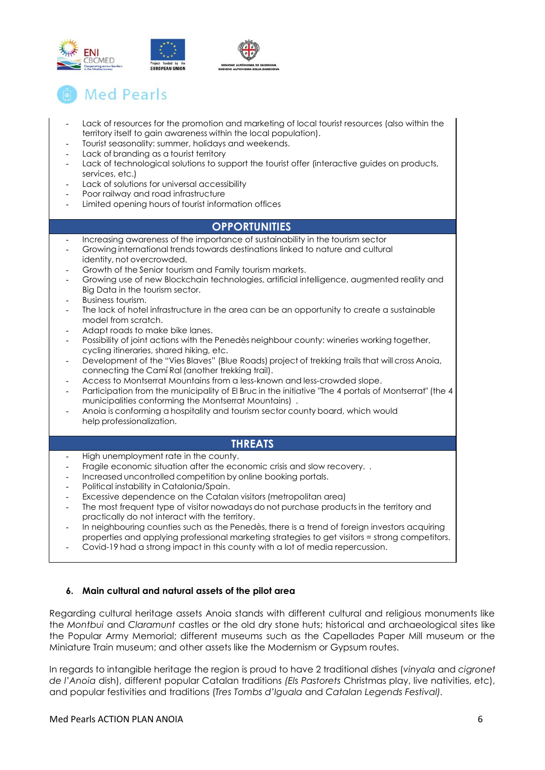

## **Med Pearls**

- Lack of resources for the promotion and marketing of local tourist resources (also within the territory itself to gain awareness within the local population).
- Tourist seasonality: summer, holidays and weekends.
- Lack of branding as a tourist territory
- Lack of technological solutions to support the tourist offer (interactive guides on products, services, etc.)
- Lack of solutions for universal accessibility
- Poor railway and road infrastructure
- Limited opening hours of tourist information offices

### **OPPORTUNITIES**

- Increasing awareness of the importance of sustainability in the tourism sector
- Growing international trends towards destinations linked to nature and cultural
- identity, not overcrowded. - Growth of the Senior tourism and Family tourism markets.
- Growing use of new Blockchain technologies, artificial intelligence, augmented reality and Big Data in the tourism sector.
- Business tourism.
- The lack of hotel infrastructure in the area can be an opportunity to create a sustainable model from scratch.
- Adapt roads to make bike lanes.
- Possibility of joint actions with the Penedès neighbour county: wineries working together, cycling itineraries, shared hiking, etc.
- Development of the "Vies Blaves" (Blue Roads) project of trekking trails that will cross Anoia, connecting the Camí Ral (another trekking trail).
- Access to Montserrat Mountains from a less-known and less-crowded slope.
- Participation from the municipality of El Bruc in the initiative "The 4 portals of Montserrat" (the 4 municipalities conforming the Montserrat Mountains) .
- Anoia is conforming a hospitality and tourism sector county board, which would help professionalization.

### **THREATS**

- High unemployment rate in the county.
- Fragile economic situation after the economic crisis and slow recovery...
- Increased uncontrolled competition by online booking portals.
- Political instability in Catalonia/Spain.
- Excessive dependence on the Catalan visitors (metropolitan area)
- The most frequent type of visitor nowadays do not purchase products in the territory and practically do not interact with the territory.
- In neighbouring counties such as the Penedès, there is a trend of foreign investors acquiring properties and applying professional marketing strategies to get visitors = strong competitors.
- Covid-19 had a strong impact in this county with a lot of media repercussion.

### **6. Main cultural and natural assets of the pilot area**

Regarding cultural heritage assets Anoia stands with different cultural and religious monuments like the *Montbui* and *Claramunt* castles or the old dry stone huts; historical and archaeological sites like the Popular Army Memorial; different museums such as the Capellades Paper Mill museum or the Miniature Train museum; and other assets like the Modernism or Gypsum routes.

In regards to intangible heritage the region is proud to have 2 traditional dishes (*vinyala* and *cigronet de l'Anoia* dish), different popular Catalan traditions *(Els Pastorets* Christmas play, live nativities, etc), and popular festivities and traditions (*Tres Tombs d'Iguala* and *Catalan Legends Festival).*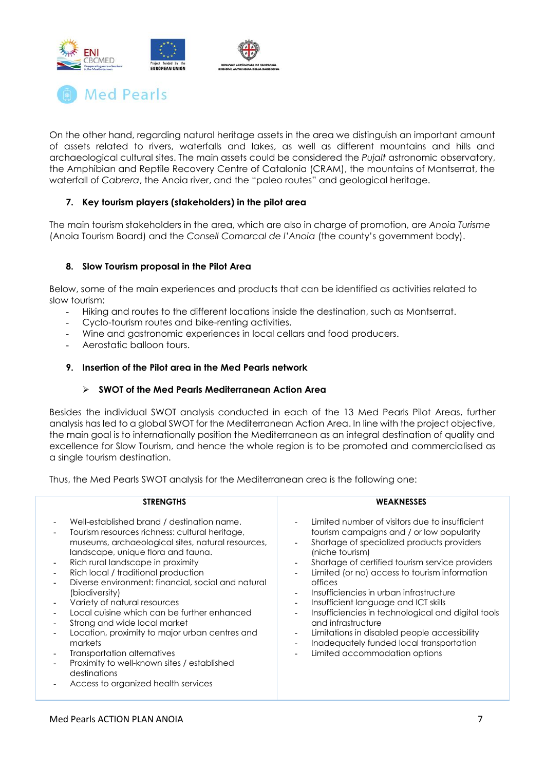



On the other hand, regarding natural heritage assets in the area we distinguish an important amount of assets related to rivers, waterfalls and lakes, as well as different mountains and hills and archaeological cultural sites. The main assets could be considered the *Pujalt* astronomic observatory, the Amphibian and Reptile Recovery Centre of Catalonia (CRAM), the mountains of Montserrat, the waterfall of *Cabrera*, the Anoia river, and the "paleo routes" and geological heritage.

### **7. Key tourism players (stakeholders) in the pilot area**

The main tourism stakeholders in the area, which are also in charge of promotion, are *Anoia Turisme* (Anoia Tourism Board) and the *Consell Comarcal de l'Anoia* (the county's government body).

### **8. Slow Tourism proposal in the Pilot Area**

Below, some of the main experiences and products that can be identified as activities related to slow tourism:

- Hiking and routes to the different locations inside the destination, such as Montserrat.
- Cyclo-tourism routes and bike-renting activities.
- Wine and gastronomic experiences in local cellars and food producers.
- Aerostatic balloon tours.

#### **9. Insertion of the Pilot area in the Med Pearls network**

#### **SWOT of the Med Pearls Mediterranean Action Area**

Besides the individual SWOT analysis conducted in each of the 13 Med Pearls Pilot Areas, further analysis has led to a global SWOT for the Mediterranean Action Area. In line with the project objective, the main goal is to internationally position the Mediterranean as an integral destination of quality and excellence for Slow Tourism, and hence the whole region is to be promoted and commercialised as a single tourism destination.

Thus, the Med Pearls SWOT analysis for the Mediterranean area is the following one:

| <b>STRENGTHS</b>                                                                                                                                                                                                                                                                                                                                                                                                                                                                                                                                                                                                                                             | <b>WEAKNESSES</b>                                                                                                                                                                                                                                                                                                                                                                                                                                                                                                                                                                                          |
|--------------------------------------------------------------------------------------------------------------------------------------------------------------------------------------------------------------------------------------------------------------------------------------------------------------------------------------------------------------------------------------------------------------------------------------------------------------------------------------------------------------------------------------------------------------------------------------------------------------------------------------------------------------|------------------------------------------------------------------------------------------------------------------------------------------------------------------------------------------------------------------------------------------------------------------------------------------------------------------------------------------------------------------------------------------------------------------------------------------------------------------------------------------------------------------------------------------------------------------------------------------------------------|
| Well-established brand / destination name.<br>Tourism resources richness: cultural heritage,<br>museums, archaeological sites, natural resources,<br>landscape, unique flora and fauna.<br>Rich rural landscape in proximity<br>Rich local / traditional production<br>Diverse environment: financial, social and natural<br>(biodiversity)<br>Variety of natural resources<br>Local cuisine which can be further enhanced<br>Strong and wide local market<br>Location, proximity to major urban centres and<br>markets<br>Transportation alternatives<br>Proximity to well-known sites / established<br>destinations<br>Access to organized health services | Limited number of visitors due to insufficient<br>tourism campaigns and / or low popularity<br>Shortage of specialized products providers<br>(niche tourism)<br>Shortage of certified tourism service providers<br>Limited (or no) access to tourism information<br>offices<br>Insufficiencies in urban infrastructure<br>Insufficient language and ICT skills<br>$-$<br>Insufficiencies in technological and digital tools<br>and infrastructure<br>Limitations in disabled people accessibility<br>$\overline{\phantom{a}}$<br>Inadequately funded local transportation<br>Limited accommodation options |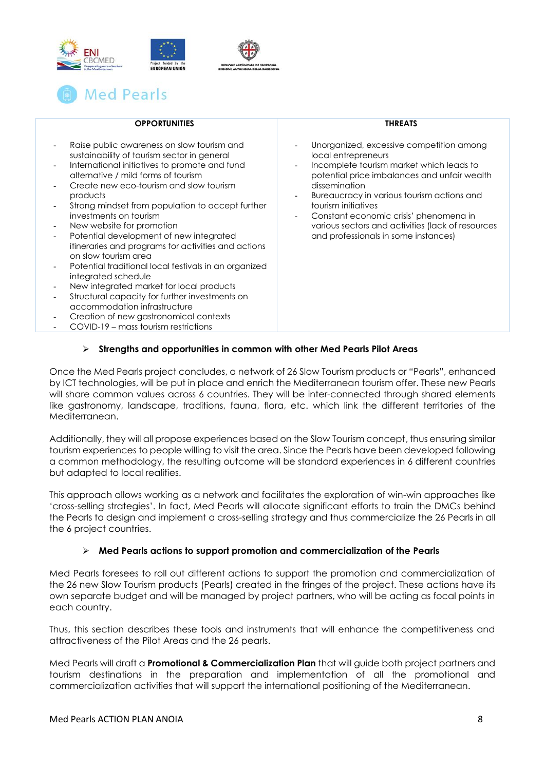

| Med Pearls |  |  |  |  |
|------------|--|--|--|--|
|            |  |  |  |  |

| <b>OPPORTUNITIES</b>                                                                                                                                                                                                                                                                                                                                                                                                                                                                                                                                                                                                                                                                                                                                                          | <b>THREATS</b>                                                                                                                                                                                                                                                                                                                                                                           |
|-------------------------------------------------------------------------------------------------------------------------------------------------------------------------------------------------------------------------------------------------------------------------------------------------------------------------------------------------------------------------------------------------------------------------------------------------------------------------------------------------------------------------------------------------------------------------------------------------------------------------------------------------------------------------------------------------------------------------------------------------------------------------------|------------------------------------------------------------------------------------------------------------------------------------------------------------------------------------------------------------------------------------------------------------------------------------------------------------------------------------------------------------------------------------------|
| Raise public awareness on slow tourism and<br>sustainability of tourism sector in general<br>International initiatives to promote and fund<br>alternative / mild forms of tourism<br>Create new eco-tourism and slow tourism<br>products<br>Strong mindset from population to accept further<br>investments on tourism<br>New website for promotion<br>Potential development of new integrated<br>itineraries and programs for activities and actions<br>on slow tourism area<br>Potential traditional local festivals in an organized<br>integrated schedule<br>New integrated market for local products<br>Structural capacity for further investments on<br>accommodation infrastructure<br>Creation of new gastronomical contexts<br>COVID-19 – mass tourism restrictions | Unorganized, excessive competition among<br>local entrepreneurs<br>Incomplete tourism market which leads to<br>potential price imbalances and unfair wealth<br>dissemination<br>Bureaucracy in various tourism actions and<br>tourism initiatives<br>Constant economic crisis' phenomena in<br>various sectors and activities (lack of resources<br>and professionals in some instances) |
|                                                                                                                                                                                                                                                                                                                                                                                                                                                                                                                                                                                                                                                                                                                                                                               |                                                                                                                                                                                                                                                                                                                                                                                          |

### **Strengths and opportunities in common with other Med Pearls Pilot Areas**

Once the Med Pearls project concludes, a network of 26 Slow Tourism products or "Pearls", enhanced by ICT technologies, will be put in place and enrich the Mediterranean tourism offer. These new Pearls will share common values across 6 countries. They will be inter-connected through shared elements like gastronomy, landscape, traditions, fauna, flora, etc. which link the different territories of the Mediterranean.

Additionally, they will all propose experiences based on the Slow Tourism concept, thus ensuring similar tourism experiences to people willing to visit the area. Since the Pearls have been developed following a common methodology, the resulting outcome will be standard experiences in 6 different countries but adapted to local realities.

This approach allows working as a network and facilitates the exploration of win-win approaches like 'cross-selling strategies'. In fact, Med Pearls will allocate significant efforts to train the DMCs behind the Pearls to design and implement a cross-selling strategy and thus commercialize the 26 Pearls in all the 6 project countries.

#### **Med Pearls actions to support promotion and commercialization of the Pearls**

Med Pearls foresees to roll out different actions to support the promotion and commercialization of the 26 new Slow Tourism products (Pearls) created in the fringes of the project. These actions have its own separate budget and will be managed by project partners, who will be acting as focal points in each country.

Thus, this section describes these tools and instruments that will enhance the competitiveness and attractiveness of the Pilot Areas and the 26 pearls.

Med Pearls will draft a **Promotional & Commercialization Plan** that will guide both project partners and tourism destinations in the preparation and implementation of all the promotional and commercialization activities that will support the international positioning of the Mediterranean.